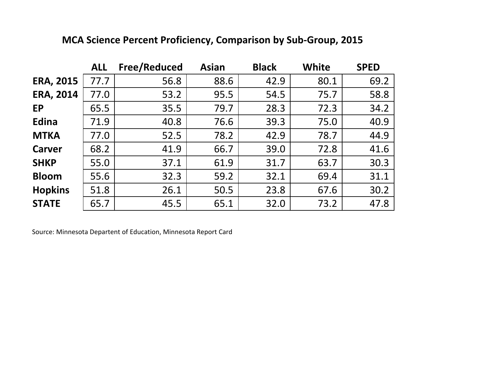|                  | <b>ALL</b> | <b>Free/Reduced</b> | <b>Asian</b> | <b>Black</b> | <b>White</b> | <b>SPED</b> |
|------------------|------------|---------------------|--------------|--------------|--------------|-------------|
| <b>ERA, 2015</b> | 77.7       | 56.8                | 88.6         | 42.9         | 80.1         | 69.2        |
| <b>ERA, 2014</b> | 77.0       | 53.2                | 95.5         | 54.5         | 75.7         | 58.8        |
| <b>EP</b>        | 65.5       | 35.5                | 79.7         | 28.3         | 72.3         | 34.2        |
| Edina            | 71.9       | 40.8                | 76.6         | 39.3         | 75.0         | 40.9        |
| <b>MTKA</b>      | 77.0       | 52.5                | 78.2         | 42.9         | 78.7         | 44.9        |
| <b>Carver</b>    | 68.2       | 41.9                | 66.7         | 39.0         | 72.8         | 41.6        |
| <b>SHKP</b>      | 55.0       | 37.1                | 61.9         | 31.7         | 63.7         | 30.3        |
| <b>Bloom</b>     | 55.6       | 32.3                | 59.2         | 32.1         | 69.4         | 31.1        |
| <b>Hopkins</b>   | 51.8       | 26.1                | 50.5         | 23.8         | 67.6         | 30.2        |
| <b>STATE</b>     | 65.7       | 45.5                | 65.1         | 32.0         | 73.2         | 47.8        |

## **MCA Science Percent Proficiency, Comparison by Sub-Group, 2015**

Source: Minnesota Departent of Education, Minnesota Report Card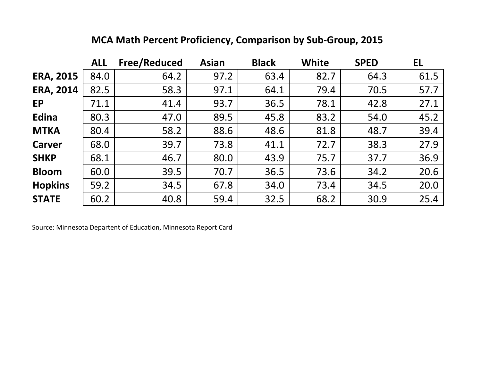|                  | <b>ALL</b> | <b>Free/Reduced</b> | <b>Asian</b> | <b>Black</b> | White | <b>SPED</b> | EL   |
|------------------|------------|---------------------|--------------|--------------|-------|-------------|------|
| <b>ERA, 2015</b> | 84.0       | 64.2                | 97.2         | 63.4         | 82.7  | 64.3        | 61.5 |
| <b>ERA, 2014</b> | 82.5       | 58.3                | 97.1         | 64.1         | 79.4  | 70.5        | 57.7 |
| <b>EP</b>        | 71.1       | 41.4                | 93.7         | 36.5         | 78.1  | 42.8        | 27.1 |
| Edina            | 80.3       | 47.0                | 89.5         | 45.8         | 83.2  | 54.0        | 45.2 |
| <b>MTKA</b>      | 80.4       | 58.2                | 88.6         | 48.6         | 81.8  | 48.7        | 39.4 |
| <b>Carver</b>    | 68.0       | 39.7                | 73.8         | 41.1         | 72.7  | 38.3        | 27.9 |
| <b>SHKP</b>      | 68.1       | 46.7                | 80.0         | 43.9         | 75.7  | 37.7        | 36.9 |
| <b>Bloom</b>     | 60.0       | 39.5                | 70.7         | 36.5         | 73.6  | 34.2        | 20.6 |
| <b>Hopkins</b>   | 59.2       | 34.5                | 67.8         | 34.0         | 73.4  | 34.5        | 20.0 |
| <b>STATE</b>     | 60.2       | 40.8                | 59.4         | 32.5         | 68.2  | 30.9        | 25.4 |

## **MCA Math Percent Proficiency, Comparison by Sub-Group, 2015**

Source: Minnesota Departent of Education, Minnesota Report Card